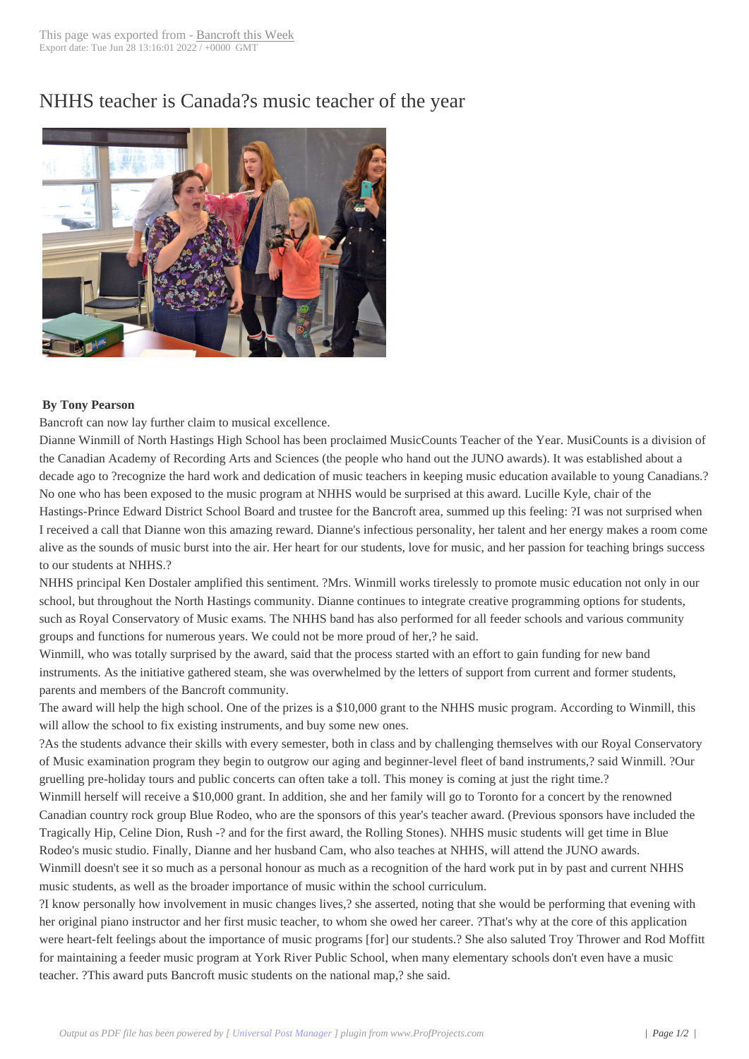## NHHS teacher is C[anada?s mus](http://www.bancroftthisweek.com/?p=7512)ic teacher of the year



## **By Tony Pearson**

Bancroft can now lay further claim to musical excellence.

Dianne Winmill of North Hastings High School has been proclaimed MusicCounts Teacher of the Year. MusiCounts is a division of the Canadian Academy of Recording Arts and Sciences (the people who hand out the JUNO awards). It was established about a decade ago to ?recognize the hard work and dedication of music teachers in keeping music education available to young Canadians.? No one who has been exposed to the music program at NHHS would be surprised at this award. Lucille Kyle, chair of the Hastings-Prince Edward District School Board and trustee for the Bancroft area, summed up this feeling: ?I was not surprised when I received a call that Dianne won this amazing reward. Dianne's infectious personality, her talent and her energy makes a room come alive as the sounds of music burst into the air. Her heart for our students, love for music, and her passion for teaching brings success to our students at NHHS.?

NHHS principal Ken Dostaler amplified this sentiment. ?Mrs. Winmill works tirelessly to promote music education not only in our school, but throughout the North Hastings community. Dianne continues to integrate creative programming options for students, such as Royal Conservatory of Music exams. The NHHS band has also performed for all feeder schools and various community groups and functions for numerous years. We could not be more proud of her,? he said.

Winmill, who was totally surprised by the award, said that the process started with an effort to gain funding for new band instruments. As the initiative gathered steam, she was overwhelmed by the letters of support from current and former students, parents and members of the Bancroft community.

The award will help the high school. One of the prizes is a \$10,000 grant to the NHHS music program. According to Winmill, this will allow the school to fix existing instruments, and buy some new ones.

?As the students advance their skills with every semester, both in class and by challenging themselves with our Royal Conservatory of Music examination program they begin to outgrow our aging and beginner-level fleet of band instruments,? said Winmill. ?Our gruelling pre-holiday tours and public concerts can often take a toll. This money is coming at just the right time.?

Winmill herself will receive a \$10,000 grant. In addition, she and her family will go to Toronto for a concert by the renowned Canadian country rock group Blue Rodeo, who are the sponsors of this year's teacher award. (Previous sponsors have included the Tragically Hip, Celine Dion, Rush -? and for the first award, the Rolling Stones). NHHS music students will get time in Blue Rodeo's music studio. Finally, Dianne and her husband Cam, who also teaches at NHHS, will attend the JUNO awards. Winmill doesn't see it so much as a personal honour as much as a recognition of the hard work put in by past and current NHHS music students, as well as the broader importance of music within the school curriculum.

?I know personally how involvement in music changes lives,? she asserted, noting that she would be performing that evening with her original piano instructor and her first music teacher, to whom she owed her career. ?That's why at the core of this application were heart-felt feelings about the importance of music programs [for] our students.? She also saluted Troy Thrower and Rod Moffitt for maintaining a feeder music program at York River Public School, when many elementary schools don't even have a music teacher. ?This award puts Bancroft music students on the national map,? she said.